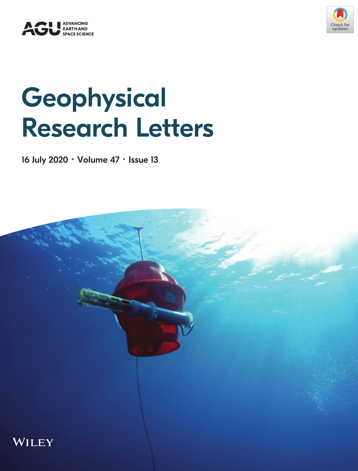



## **Geophysical** Research Letters

16 July 2020 · Volume 47 · Issue 13